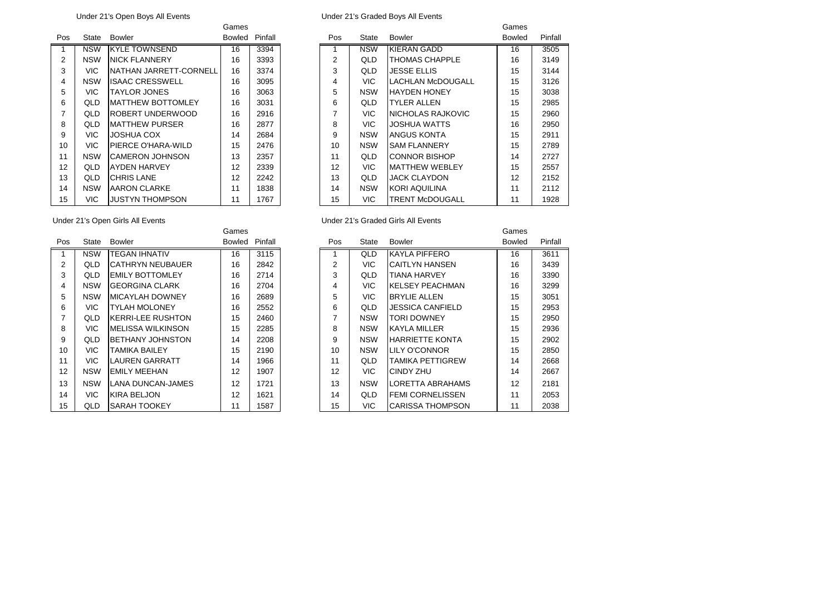|     |            |                          | Ganies |         |
|-----|------------|--------------------------|--------|---------|
| Pos | State      | Bowler                   | Bowled | Pinfall |
| 1   | <b>NSW</b> | <b>KYLE TOWNSEND</b>     | 16     | 3394    |
| 2   | <b>NSW</b> | <b>NICK FLANNERY</b>     | 16     | 3393    |
| 3   | VIC.       | NATHAN JARRETT-CORNELL   | 16     | 3374    |
| 4   | <b>NSW</b> | <b>ISAAC CRESSWELL</b>   | 16     | 3095    |
| 5   | <b>VIC</b> | TAYLOR JONES             | 16     | 3063    |
| 6   | QLD        | <b>MATTHEW BOTTOMLEY</b> | 16     | 3031    |
| 7   | QLD        | ROBERT UNDERWOOD         | 16     | 2916    |
| 8   | QLD        | <b>MATTHEW PURSER</b>    | 16     | 2877    |
| 9   | <b>VIC</b> | JOSHUA COX               | 14     | 2684    |
| 10  | VIC.       | PIERCE O'HARA-WILD       | 15     | 2476    |
| 11  | <b>NSW</b> | <b>CAMERON JOHNSON</b>   | 13     | 2357    |
| 12  | QLD        | AYDEN HARVEY             | 12     | 2339    |
| 13  | QLD        | <b>CHRIS LANE</b>        | 12     | 2242    |
| 14  | <b>NSW</b> | AARON CLARKE             | 11     | 1838    |
| 15  | VIC        | JUSTYN THOMPSON          | 11     | 1767    |

Under 21's Open Boys All Events Under 21's Graded Boys All Events

|                 |            |                          | Games         |         |     |            |                          | Games         |         |
|-----------------|------------|--------------------------|---------------|---------|-----|------------|--------------------------|---------------|---------|
| Pos             | State      | Bowler                   | <b>Bowled</b> | Pinfall | Pos | State      | <b>Bowler</b>            | <b>Bowled</b> | Pinfall |
|                 | <b>NSW</b> | <b>KYLE TOWNSEND</b>     | 16            | 3394    |     | <b>NSW</b> | <b>KIERAN GADD</b>       | 16            | 3505    |
| 2               | <b>NSW</b> | <b>INICK FLANNERY</b>    | 16            | 3393    | 2   | QLD        | <b>THOMAS CHAPPLE</b>    | 16            | 3149    |
| 3               | <b>VIC</b> | NATHAN JARRETT-CORNELL   | 16            | 3374    | 3   | QLD        | <b>JESSE ELLIS</b>       | 15            | 3144    |
| 4               | <b>NSW</b> | <b>ISAAC CRESSWELL</b>   | 16            | 3095    | 4   | VIC.       | <b>LACHLAN McDOUGALL</b> | 15            | 3126    |
| 5               | VIC.       | <b>TAYLOR JONES</b>      | 16            | 3063    | 5   | <b>NSW</b> | <b>HAYDEN HONEY</b>      | 15            | 3038    |
| 6               | QLD        | <b>MATTHEW BOTTOMLEY</b> | 16            | 3031    | 6   | QLD        | <b>TYLER ALLEN</b>       | 15            | 2985    |
| $\overline{7}$  | QLD        | IROBERT UNDERWOOD        | 16            | 2916    | 7   | <b>VIC</b> | NICHOLAS RAJKOVIC        | 15            | 2960    |
| 8               | QLD        | <b>MATTHEW PURSER</b>    | 16            | 2877    | 8   | <b>VIC</b> | <b>JOSHUA WATTS</b>      | 16            | 2950    |
| 9               | VIC.       | <b>JOSHUA COX</b>        | 14            | 2684    | 9   | <b>NSW</b> | ANGUS KONTA              | 15            | 2911    |
| 10 <sup>1</sup> | <b>VIC</b> | PIERCE O'HARA-WILD       | 15            | 2476    | 10  | <b>NSW</b> | <b>SAM FLANNERY</b>      | 15            | 2789    |
| 11              | <b>NSW</b> | <b>CAMERON JOHNSON</b>   | 13            | 2357    | 11  | QLD        | <b>CONNOR BISHOP</b>     | 14            | 2727    |
| 12              | QLD        | IAYDEN HARVEY            | 12            | 2339    | 12  | <b>VIC</b> | <b>MATTHEW WEBLEY</b>    | 15            | 2557    |
| 13              | QLD        | <b>CHRIS LANE</b>        | 12            | 2242    | 13  | QLD        | <b>JACK CLAYDON</b>      | 12            | 2152    |
| 14              | <b>NSW</b> | <b>AARON CLARKE</b>      | 11            | 1838    | 14  | <b>NSW</b> | <b>KORI AQUILINA</b>     | 11            | 2112    |
| 15              | <b>VIC</b> | <b>JUSTYN THOMPSON</b>   | 11            | 1767    | 15  | VIC.       | <b>TRENT McDOUGALL</b>   | 11            | 1928    |

| Pos            | State      | Bowler                   | <b>Bowled</b> | Pinfall |
|----------------|------------|--------------------------|---------------|---------|
| 1              | <b>NSW</b> | <b>TEGAN IHNATIV</b>     | 16            | 3115    |
| $\overline{2}$ | QLD        | <b>CATHRYN NEUBAUER</b>  | 16            | 2842    |
| 3              | QLD        | <b>EMILY BOTTOMLEY</b>   | 16            | 2714    |
| 4              | <b>NSW</b> | <b>GEORGINA CLARK</b>    | 16            | 2704    |
| 5              | <b>NSW</b> | <b>MICAYLAH DOWNEY</b>   | 16            | 2689    |
| 6              | VIC        | <b>TYLAH MOLONEY</b>     | 16            | 2552    |
| $\overline{7}$ | QLD        | <b>KERRI-LEE RUSHTON</b> | 15            | 2460    |
| 8              | VIC.       | <b>MELISSA WILKINSON</b> | 15            | 2285    |
| 9              | QLD        | <b>BETHANY JOHNSTON</b>  | 14            | 2208    |
| 10             | VIC.       | <b>TAMIKA BAILEY</b>     | 15            | 2190    |
| 11             | VIC.       | LAUREN GARRATT           | 14            | 1966    |
| 12             | <b>NSW</b> | EMILY MEEHAN             | 12            | 1907    |
| 13             | <b>NSW</b> | <b>LANA DUNCAN-JAMES</b> | 12            | 1721    |
| 14             | VIC        | KIRA BELJON              | 12            | 1621    |
| 15             | QLD        | SARAH TOOKEY             | 11            | 1587    |

# Under 21's Open Girls All Events Under 21's Graded Girls All Events

|                |            |                           | Games  |         |                |              |                         | Games         |         |
|----------------|------------|---------------------------|--------|---------|----------------|--------------|-------------------------|---------------|---------|
| Pos            | State      | Bowler                    | Bowled | Pinfall | Pos            | <b>State</b> | <b>Bowler</b>           | <b>Bowled</b> | Pinfall |
|                | <b>NSW</b> | <b>TEGAN IHNATIV</b>      | 16     | 3115    |                | QLD          | <b>KAYLA PIFFERO</b>    | 16            | 3611    |
| 2              | QLD        | <b>CATHRYN NEUBAUER</b>   | 16     | 2842    | 2              | VIC.         | <b>CAITLYN HANSEN</b>   | 16            | 3439    |
| 3              | QLD        | <b>EMILY BOTTOMLEY</b>    | 16     | 2714    | 3              | QLD          | <b>TIANA HARVEY</b>     | 16            | 3390    |
| 4              | <b>NSW</b> | <b>GEORGINA CLARK</b>     | 16     | 2704    | 4              | VIC.         | <b>KELSEY PEACHMAN</b>  | 16            | 3299    |
| 5              | <b>NSW</b> | <b>MICAYLAH DOWNEY</b>    | 16     | 2689    | 5              | <b>VIC</b>   | <b>BRYLIE ALLEN</b>     | 15            | 3051    |
| 6              | <b>VIC</b> | <b>TYLAH MOLONEY</b>      | 16     | 2552    | 6              | QLD          | JESSICA CANFIELD        | 15            | 2953    |
| $\overline{7}$ | QLD        | <b>IKERRI-LEE RUSHTON</b> | 15     | 2460    | $\overline{ }$ | <b>NSW</b>   | <b>TORI DOWNEY</b>      | 15            | 2950    |
| 8              | <b>VIC</b> | IMELISSA WILKINSON        | 15     | 2285    | 8              | <b>NSW</b>   | IKAYLA MILLER           | 15            | 2936    |
| 9              | QLD.       | BETHANY JOHNSTON          | 14     | 2208    | 9              | <b>NSW</b>   | <b>HARRIETTE KONTA</b>  | 15            | 2902    |
| 10             | VIC.       | <b>TAMIKA BAILEY</b>      | 15     | 2190    | 10             | <b>NSW</b>   | LILY O'CONNOR           | 15            | 2850    |
| 11             | <b>VIC</b> | <b>LAUREN GARRATT</b>     | 14     | 1966    | 11             | QLD          | <b>TAMIKA PETTIGREW</b> | 14            | 2668    |
| 12             | <b>NSW</b> | <b>EMILY MEEHAN</b>       | 12     | 1907    | 12             | <b>VIC</b>   | CINDY ZHU               | 14            | 2667    |
| 13             | <b>NSW</b> | <b>LANA DUNCAN-JAMES</b>  | 12     | 1721    | 13             | <b>NSW</b>   | LORETTA ABRAHAMS        | 12            | 2181    |
| 14             | <b>VIC</b> | IKIRA BELJON              | 12     | 1621    | 14             | QLD          | <b>FEMI CORNELISSEN</b> | 11            | 2053    |
| 15             | QLD        | ISARAH TOOKEY             | 11     | 1587    | 15             | VIC.         | <b>CARISSA THOMPSON</b> | 11            | 2038    |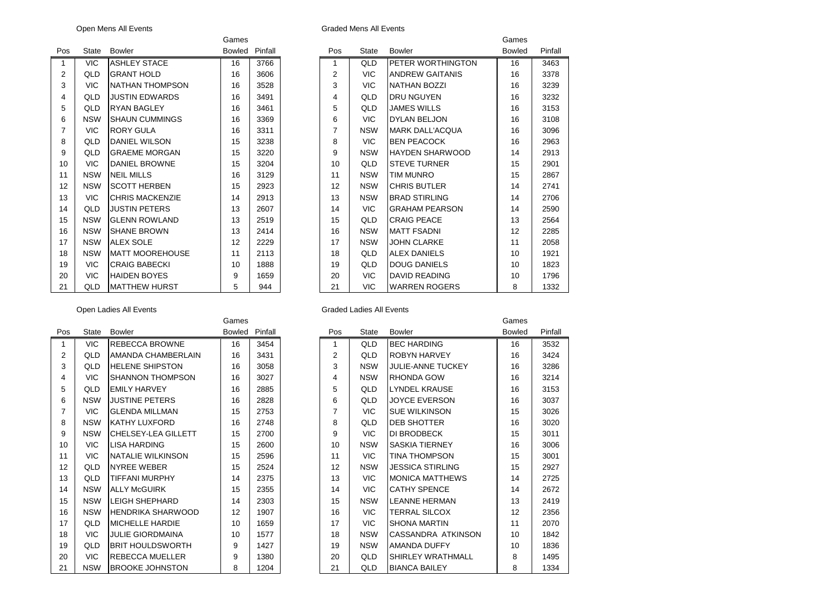| Graded Mens All Event: |  |  |  |
|------------------------|--|--|--|
|------------------------|--|--|--|

|                |              |                        | oanivo |         |
|----------------|--------------|------------------------|--------|---------|
| Pos            | <b>State</b> | <b>Bowler</b>          | Bowled | Pinfall |
| 1              | <b>VIC</b>   | <b>ASHLEY STACE</b>    | 16     | 3766    |
| 2              | QLD          | <b>GRANT HOLD</b>      | 16     | 3606    |
| 3              | <b>VIC</b>   | NATHAN THOMPSON        | 16     | 3528    |
| 4              | QLD          | <b>JUSTIN EDWARDS</b>  | 16     | 3491    |
| 5              | QLD          | <b>RYAN BAGLEY</b>     | 16     | 3461    |
| 6              | <b>NSW</b>   | <b>SHAUN CUMMINGS</b>  | 16     | 3369    |
| $\overline{7}$ | <b>VIC</b>   | RORY GULA              | 16     | 3311    |
| 8              | QLD          | DANIEL WILSON          | 15     | 3238    |
| 9              | QLD          | <b>GRAEME MORGAN</b>   | 15     | 3220    |
| 10             | <b>VIC</b>   | <b>DANIEL BROWNE</b>   | 15     | 3204    |
| 11             | <b>NSW</b>   | <b>NEIL MILLS</b>      | 16     | 3129    |
| 12             | <b>NSW</b>   | <b>SCOTT HERBEN</b>    | 15     | 2923    |
| 13             | <b>VIC</b>   | <b>CHRIS MACKENZIE</b> | 14     | 2913    |
| 14             | QLD          | <b>JUSTIN PETERS</b>   | 13     | 2607    |
| 15             | <b>NSW</b>   | <b>GLENN ROWLAND</b>   | 13     | 2519    |
| 16             | <b>NSW</b>   | <b>SHANE BROWN</b>     | 13     | 2414    |
| 17             | <b>NSW</b>   | <b>ALEX SOLE</b>       | 12     | 2229    |
| 18             | <b>NSW</b>   | <b>MATT MOOREHOUSE</b> | 11     | 2113    |
| 19             | <b>VIC</b>   | <b>CRAIG BABECKI</b>   | 10     | 1888    |
| 20             | <b>VIC</b>   | <b>HAIDEN BOYES</b>    | 9      | 1659    |
| 21             | QLD          | <b>MATTHEW HURST</b>   | 5      | 944     |

|                         |            |                          | Games  |         |
|-------------------------|------------|--------------------------|--------|---------|
| Pos                     | State      | <b>Bowler</b>            | Bowled | Pinfall |
| 1                       | <b>VIC</b> | REBECCA BROWNE           | 16     | 3454    |
| 2                       | QLD        | AMANDA CHAMBERLAIN       | 16     | 3431    |
| 3                       | QLD        | <b>HELENE SHIPSTON</b>   | 16     | 3058    |
| $\overline{\mathbf{4}}$ | VIC.       | <b>SHANNON THOMPSON</b>  | 16     | 3027    |
| 5                       | QLD        | <b>FMILY HARVEY</b>      | 16     | 2885    |
| 6                       | <b>NSW</b> | <b>JUSTINE PETERS</b>    | 16     | 2828    |
| $\overline{7}$          | <b>VIC</b> | <b>GLENDA MILLMAN</b>    | 15     | 2753    |
| 8                       | <b>NSW</b> | KATHY LUXFORD            | 16     | 2748    |
| 9                       | <b>NSW</b> | CHELSEY-LEA GILLETT      | 15     | 2700    |
| 10                      | <b>VIC</b> | <b>LISA HARDING</b>      | 15     | 2600    |
| 11                      | <b>VIC</b> | <b>NATALIE WILKINSON</b> | 15     | 2596    |
| 12                      | QLD        | <b>NYREE WEBER</b>       | 15     | 2524    |
| 13                      | QLD        | TIFFANI MURPHY           | 14     | 2375    |
| 14                      | <b>NSW</b> | <b>ALLY McGUIRK</b>      | 15     | 2355    |
| 15                      | <b>NSW</b> | LEIGH SHEPHARD           | 14     | 2303    |
| 16                      | <b>NSW</b> | <b>HENDRIKA SHARWOOD</b> | 12     | 1907    |
| 17                      | QLD        | <b>MICHELLE HARDIE</b>   | 10     | 1659    |
| 18                      | <b>VIC</b> | <b>JULIE GIORDMAINA</b>  | 10     | 1577    |
| 19                      | QLD        | <b>BRIT HOULDSWORTH</b>  | 9      | 1427    |
| 20                      | <b>VIC</b> | REBECCA MUELLER          | 9      | 1380    |
| 21                      | <b>NSW</b> | <b>BROOKE JOHNSTON</b>   | 8      | 1204    |

|     |            | Open Mens All Events   | <b>Graded Mens All Events</b> |         |  |     |            |                        |               |         |
|-----|------------|------------------------|-------------------------------|---------|--|-----|------------|------------------------|---------------|---------|
|     |            |                        | Games                         |         |  |     |            |                        | Games         |         |
| Pos | State      | <b>Bowler</b>          | <b>Bowled</b>                 | Pinfall |  | Pos | State      | <b>Bowler</b>          | <b>Bowled</b> | Pinfall |
| 1   | <b>VIC</b> | <b>ASHLEY STACE</b>    | 16                            | 3766    |  | 1   | QLD        | PETER WORTHINGTON      | 16            | 3463    |
| 2   | <b>QLD</b> | <b>GRANT HOLD</b>      | 16                            | 3606    |  | 2   | <b>VIC</b> | <b>ANDREW GAITANIS</b> | 16            | 3378    |
| 3   | <b>VIC</b> | <b>NATHAN THOMPSON</b> | 16                            | 3528    |  | 3   | <b>VIC</b> | <b>NATHAN BOZZI</b>    | 16            | 3239    |
| 4   | QLD        | <b>JUSTIN EDWARDS</b>  | 16                            | 3491    |  | 4   | QLD        | <b>DRU NGUYEN</b>      | 16            | 3232    |
| 5   | QLD        | <b>RYAN BAGLEY</b>     | 16                            | 3461    |  | 5   | QLD        | <b>JAMES WILLS</b>     | 16            | 3153    |
| 6   | <b>NSW</b> | <b>SHAUN CUMMINGS</b>  | 16                            | 3369    |  | 6   | <b>VIC</b> | <b>DYLAN BELJON</b>    | 16            | 3108    |
| 7   | <b>VIC</b> | <b>RORY GULA</b>       | 16                            | 3311    |  | 7   | <b>NSW</b> | <b>MARK DALL'ACQUA</b> | 16            | 3096    |
| 8   | QLD        | <b>DANIEL WILSON</b>   | 15                            | 3238    |  | 8   | <b>VIC</b> | <b>BEN PEACOCK</b>     | 16            | 2963    |
| 9   | QLD        | <b>GRAEME MORGAN</b>   | 15                            | 3220    |  | 9   | <b>NSW</b> | <b>HAYDEN SHARWOOD</b> | 14            | 2913    |
| 10  | <b>VIC</b> | <b>DANIEL BROWNE</b>   | 15                            | 3204    |  | 10  | QLD        | <b>STEVE TURNER</b>    | 15            | 2901    |
| 11  | <b>NSW</b> | <b>NEIL MILLS</b>      | 16                            | 3129    |  | 11  | <b>NSW</b> | <b>TIM MUNRO</b>       | 15            | 2867    |
| 12  | <b>NSW</b> | <b>SCOTT HERBEN</b>    | 15                            | 2923    |  | 12  | <b>NSW</b> | <b>CHRIS BUTLER</b>    | 14            | 2741    |
| 13  | <b>VIC</b> | <b>CHRIS MACKENZIE</b> | 14                            | 2913    |  | 13  | <b>NSW</b> | <b>BRAD STIRLING</b>   | 14            | 2706    |
| 14  | <b>QLD</b> | <b>JUSTIN PETERS</b>   | 13                            | 2607    |  | 14  | <b>VIC</b> | <b>GRAHAM PEARSON</b>  | 14            | 2590    |
| 15  | <b>NSW</b> | <b>GLENN ROWLAND</b>   | 13                            | 2519    |  | 15  | QLD        | <b>CRAIG PEACE</b>     | 13            | 2564    |
| 16  | <b>NSW</b> | ISHANE BROWN           | 13                            | 2414    |  | 16  | <b>NSW</b> | <b>MATT FSADNI</b>     | 12            | 2285    |
| 17  | <b>NSW</b> | <b>ALEX SOLE</b>       | 12                            | 2229    |  | 17  | <b>NSW</b> | <b>JOHN CLARKE</b>     | 11            | 2058    |
| 18  | <b>NSW</b> | IMATT MOOREHOUSE       | 11                            | 2113    |  | 18  | QLD        | <b>ALEX DANIELS</b>    | 10            | 1921    |
| 19  | <b>VIC</b> | <b>CRAIG BABECKI</b>   | 10                            | 1888    |  | 19  | QLD        | <b>DOUG DANIELS</b>    | 10            | 1823    |
| 20  | <b>VIC</b> | <b>HAIDEN BOYES</b>    | 9                             | 1659    |  | 20  | <b>VIC</b> | <b>DAVID READING</b>   | 10            | 1796    |
| 21  | QLD        | <b>MATTHEW HURST</b>   | 5                             | 944     |  | 21  | <b>VIC</b> | <b>WARREN ROGERS</b>   | 8             | 1332    |

## Open Ladies All Events Changes and Changes All Events Changes All Events

|                |            |                            | Games  |         |                |              |                          | Games         |         |
|----------------|------------|----------------------------|--------|---------|----------------|--------------|--------------------------|---------------|---------|
| Pos            | State      | <b>Bowler</b>              | Bowled | Pinfall | Pos            | <b>State</b> | <b>Bowler</b>            | <b>Bowled</b> | Pinfall |
| 1              | <b>VIC</b> | <b>REBECCA BROWNE</b>      | 16     | 3454    |                | QLD          | <b>BEC HARDING</b>       | 16            | 3532    |
| 2              | QLD        | <b>IAMANDA CHAMBERLAIN</b> | 16     | 3431    | $\overline{2}$ | QLD          | ROBYN HARVEY             | 16            | 3424    |
| 3              | QLD        | <b>HELENE SHIPSTON</b>     | 16     | 3058    | 3              | <b>NSW</b>   | <b>JULIE-ANNE TUCKEY</b> | 16            | 3286    |
| 4              | <b>VIC</b> | ISHANNON THOMPSON          | 16     | 3027    | 4              | <b>NSW</b>   | <b>RHONDA GOW</b>        | 16            | 3214    |
| 5              | <b>QLD</b> | <b>EMILY HARVEY</b>        | 16     | 2885    | 5              | <b>QLD</b>   | <b>LYNDEL KRAUSE</b>     | 16            | 3153    |
| 6              | <b>NSW</b> | <b>JUSTINE PETERS</b>      | 16     | 2828    | 6              | QLD          | <b>JOYCE EVERSON</b>     | 16            | 3037    |
| $\overline{7}$ | <b>VIC</b> | <b>GLENDA MILLMAN</b>      | 15     | 2753    |                | <b>VIC</b>   | <b>SUE WILKINSON</b>     | 15            | 3026    |
| 8              | <b>NSW</b> | İKATHY LUXFORD             | 16     | 2748    | 8              | QLD          | <b>DEB SHOTTER</b>       | 16            | 3020    |
| 9              | <b>NSW</b> | CHELSEY-LEA GILLETT        | 15     | 2700    | 9              | <b>VIC</b>   | <b>DI BRODBECK</b>       | 15            | 3011    |
| 10             | VIC.       | <b>LISA HARDING</b>        | 15     | 2600    | 10             | <b>NSW</b>   | <b>SASKIA TIERNEY</b>    | 16            | 3006    |
| 11             | <b>VIC</b> | INATALIE WILKINSON         | 15     | 2596    | 11             | <b>VIC</b>   | <b>TINA THOMPSON</b>     | 15            | 3001    |
| 12             | <b>QLD</b> | <b>NYREE WEBER</b>         | 15     | 2524    | 12             | <b>NSW</b>   | <b>JESSICA STIRLING</b>  | 15            | 2927    |
| 13             | QLD        | <b>TIFFANI MURPHY</b>      | 14     | 2375    | 13             | <b>VIC</b>   | <b>MONICA MATTHEWS</b>   | 14            | 2725    |
| 14             | <b>NSW</b> | <b>ALLY McGUIRK</b>        | 15     | 2355    | 14             | <b>VIC</b>   | <b>CATHY SPENCE</b>      | 14            | 2672    |
| 15             | <b>NSW</b> | <b>LEIGH SHEPHARD</b>      | 14     | 2303    | 15             | <b>NSW</b>   | <b>LEANNE HERMAN</b>     | 13            | 2419    |
| 16             | <b>NSW</b> | <b>HENDRIKA SHARWOOD</b>   | 12     | 1907    | 16             | <b>VIC</b>   | <b>TERRAL SILCOX</b>     | 12            | 2356    |
| 17             | QLD        | IMICHELLE HARDIE           | 10     | 1659    | 17             | <b>VIC</b>   | <b>SHONA MARTIN</b>      | 11            | 2070    |
| 18             | <b>VIC</b> | <b>JULIE GIORDMAINA</b>    | 10     | 1577    | 18             | <b>NSW</b>   | CASSANDRA ATKINSON       | 10            | 1842    |
| 19             | <b>QLD</b> | IBRIT HOULDSWORTH          | 9      | 1427    | 19             | <b>NSW</b>   | <b>AMANDA DUFFY</b>      | 10            | 1836    |
| 20             | <b>VIC</b> | IREBECCA MUELLER           | 9      | 1380    | 20             | QLD          | <b>SHIRLEY WRATHMALL</b> | 8             | 1495    |
| 21             | <b>NSW</b> | <b>BROOKE JOHNSTON</b>     | 8      | 1204    | 21             | QLD          | <b>BIANCA BAILEY</b>     | 8             | 1334    |